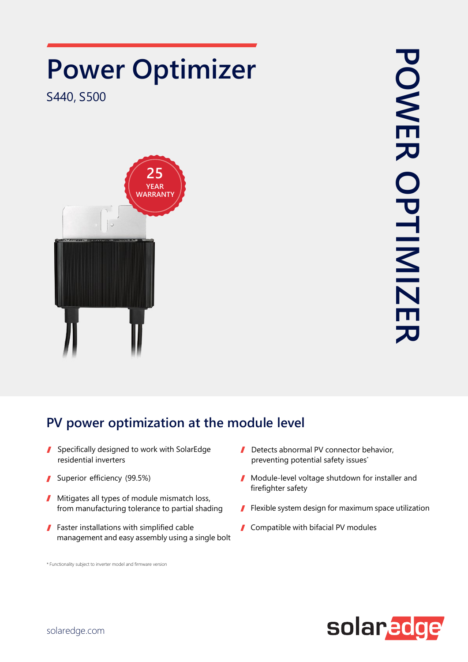

## **PV power optimization at the module level**

- Specifically designed to work with SolarEdge residential inverters
- Superior efficiency (99.5%)  $\mathbf{r}$
- Mitigates all types of module mismatch loss, from manufacturing tolerance to partial shading
- **Faster installations with simplified cable** management and easy assembly using a single bolt

\* Functionality subject to inverter model and firmware version

- $\mathbf{r}$ Detects abnormal PV connector behavior, preventing potential safety issues<sup>\*</sup>
- Module-level voltage shutdown for installer and firefighter safety
- **Flexible system design for maximum space utilization**
- Compatible with bifacial PV modules